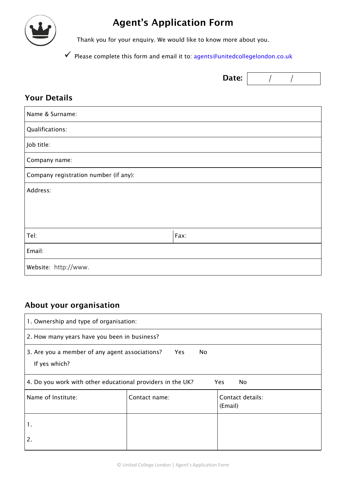

## **Agent's Application Form**

Thank you for your enquiry. We would like to know more about you.

 $\checkmark$  Please complete this form and email it to: agents@unitedcollegelondon.co.uk

|                                       | Date: |  |
|---------------------------------------|-------|--|
| <b>Your Details</b>                   |       |  |
| Name & Surname:                       |       |  |
| Qualifications:                       |       |  |
| Job title:                            |       |  |
| Company name:                         |       |  |
| Company registration number (if any): |       |  |
| Address:                              |       |  |
|                                       |       |  |
|                                       |       |  |
| Tel:                                  | Fax:  |  |
| Email:                                |       |  |
| Website: http://www.                  |       |  |

## **About your organisation**

| 1. Ownership and type of organisation:                                         |               |                             |  |  |
|--------------------------------------------------------------------------------|---------------|-----------------------------|--|--|
| 2. How many years have you been in business?                                   |               |                             |  |  |
| 3. Are you a member of any agent associations?<br>Yes.<br>No.<br>If yes which? |               |                             |  |  |
| 4. Do you work with other educational providers in the UK?<br>Yes.<br>No.      |               |                             |  |  |
| Name of Institute:                                                             | Contact name: | Contact details:<br>(Email) |  |  |
| 1.                                                                             |               |                             |  |  |
| 2.                                                                             |               |                             |  |  |